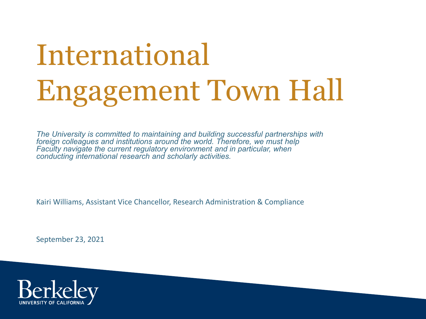# International Engagement Town Hall

*The University is committed to maintaining and building successful partnerships with foreign colleagues and institutions around the world. Therefore, we must help Faculty navigate the current regulatory environment and in particular, when conducting international research and scholarly activities.*

Kairi Williams, Assistant Vice Chancellor, Research Administration & Compliance

September 23, 2021

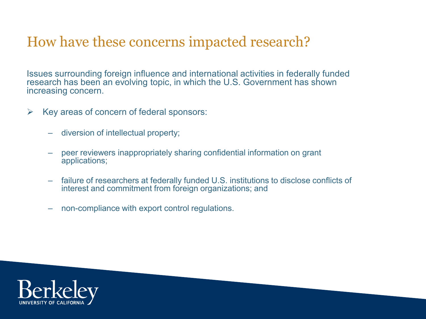### How have these concerns impacted research?

Issues surrounding foreign influence and international activities in federally funded research has been an evolving topic, in which the U.S. Government has shown increasing concern.

- $\triangleright$  Key areas of concern of federal sponsors:
	- diversion of intellectual property;
	- peer reviewers inappropriately sharing confidential information on grant applications;
	- failure of researchers at federally funded U.S. institutions to disclose conflicts of interest and commitment from foreign organizations; and
	- non-compliance with export control regulations.

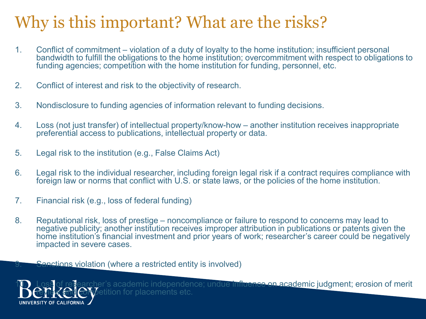### Why is this important? What are the risks?

- 1. Conflict of commitment violation of a duty of loyalty to the home institution; insufficient personal bandwidth to fulfill the obligations to the home institution; overcommitment with respect to obligations to funding agencies; competition with the home institution for funding, personnel, etc.
- 2. Conflict of interest and risk to the objectivity of research.
- 3. Nondisclosure to funding agencies of information relevant to funding decisions.
- 4. Loss (not just transfer) of intellectual property/know-how another institution receives inappropriate preferential access to publications, intellectual property or data.
- 5. Legal risk to the institution (e.g., False Claims Act)
- 6. Legal risk to the individual researcher, including foreign legal risk if a contract requires compliance with foreign law or norms that conflict with U.S. or state laws, or the policies of the home institution.
- 7. Financial risk (e.g., loss of federal funding)
- 8. Reputational risk, loss of prestige noncompliance or failure to respond to concerns may lead to negative publicity; another institution receives improper attribution in publications or patents given the home institution's financial investment and prior years of work; researcher's career could be negatively impacted in severe cases.

9. Sanctions violation (where a restricted entity is involved)



of researcher's academic independence; undue influence on academic judgment; erosion of merit **Comp**etition for placements etc.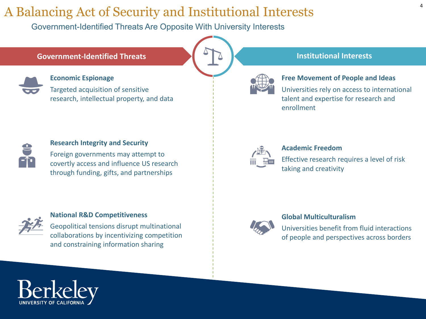### A Balancing Act of Security and Institutional Interests

Government-Identified Threats Are Opposite With University Interests

#### **Government-Identified Threats Institutional Interests**



#### **Economic Espionage**

Targeted acquisition of sensitive research, intellectual property, and data





Universities rely on access to international talent and expertise for research and enrollment



#### **Academic Freedom**

Effective research requires a level of risk taking and creativity



#### **Global Multiculturalism**

Universities benefit from fluid interactions of people and perspectives across borders



#### **Research Integrity and Security**

Foreign governments may attempt to covertly access and influence US research through funding, gifts, and partnerships



#### **National R&D Competitiveness**

Geopolitical tensions disrupt multinational collaborations by incentivizing competition and constraining information sharing

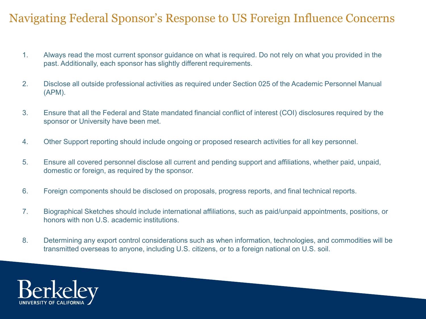### Navigating Federal Sponsor's Response to US Foreign Influence Concerns

- 1. Always read the most current sponsor guidance on what is required. Do not rely on what you provided in the past. Additionally, each sponsor has slightly different requirements.
- 2. Disclose all outside professional activities as required under Section 025 of the Academic Personnel Manual (APM).
- 3. Ensure that all the Federal and State mandated financial conflict of interest (COI) disclosures required by the sponsor or University have been met.
- 4. Other Support reporting should include ongoing or proposed research activities for all key personnel.
- 5. Ensure all covered personnel disclose all current and pending support and affiliations, whether paid, unpaid, domestic or foreign, as required by the sponsor.
- 6. Foreign components should be disclosed on proposals, progress reports, and final technical reports.
- 7. Biographical Sketches should include international affiliations, such as paid/unpaid appointments, positions, or honors with non U.S. academic institutions.
- 8. Determining any export control considerations such as when information, technologies, and commodities will be transmitted overseas to anyone, including U.S. citizens, or to a foreign national on U.S. soil.

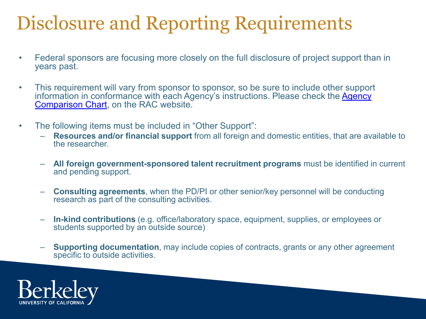### Disclosure and Reporting Requirements

- Federal sponsors are focusing more closely on the full disclosure of project support than in years past.
- This requirement will vary from sponsor to sponsor, so be sure to include other support information in conformance with each Agency's instructions. Please check the Agency Comparison Chart, on the RAC website.
- The following items must be included in "Other Support":
	- **Resources and/or financial support** from all foreign and domestic entities, that are available to the researcher.
	- **All foreign government-sponsored talent recruitment programs** must be identified in current and pending support.
	- **Consulting agreements**, when the PD/PI or other senior/key personnel will be conducting research as part of the consulting activities.
	- **In-kind contributions** (e.g. office/laboratory space, equipment, supplies, or employees or students supported by an outside source)
	- **Supporting documentation**, may include copies of contracts, grants or any other agreement specific to outside activities.

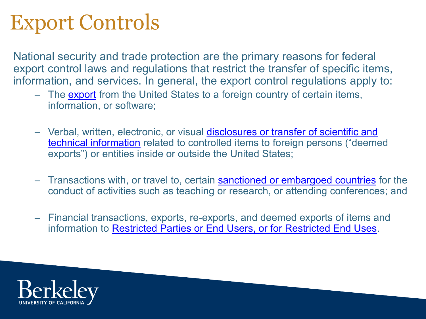### Export Controls

National security and trade protection are the primary reasons for federal export control laws and regulations that restrict the transfer of specific items, information, and services. In general, the export control regulations apply to:

- The [export](https://www.ucop.edu/ethics-compliance-audit-services/compliance/international-compliance/export-faq.html#1) from the United States to a foreign country of certain items, information, or software;
- Verbal, written, electronic, or visual disclosures or transfer of scientific and technical information [related to controlled items to foreign persons \("deeme](https://www.ucop.edu/ethics-compliance-audit-services/compliance/international-compliance/on-campus-research-with-foreign-nationals.html)d exports") or entities inside or outside the United States;
- Transactions with, or travel to, certain [sanctioned or embargoed countries](https://www.ucop.edu/ethics-compliance-audit-services/compliance/international-compliance/international-collaborations.html) for the conduct of activities such as teaching or research, or attending conferences; and
- Financial transactions, exports, re-exports, and deemed exports of items and information to [Restricted Parties or End Users, or for Restricted End Uses.](https://www.ucop.edu/ethics-compliance-audit-services/compliance/international-compliance/international-screening-tools.html)

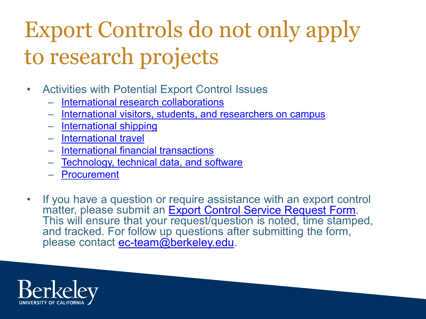## Export Controls do not only apply to research projects

- Activities with Potential Export Control Issues
	- [International research collaborations](https://rac.berkeley.edu/ec/collaboration.html)
	- [International visitors, students, and researchers on campus](https://rac.berkeley.edu/ec/visitor.html)
	- [International shipping](https://rac.berkeley.edu/ec/shipping.html)
	- [International travel](https://rac.berkeley.edu/ec/travel.html)
	- [International financial transactions](https://rac.berkeley.edu/ec/financial.html)
	- [Technology, technical data, and software](https://rac.berkeley.edu/ec/technology.html)
	- [Procurement](https://rac.berkeley.edu/ec/procurement.html)
- If you have a question or require assistance with an export control<br>matter, please submit an Export Control Service Request Form. This will ensure that your [request/question is noted, time stamp](https://docs.google.com/forms/d/e/1FAIpQLScwrGtHZAhi4p_VenhqsrEni9zDR27mQPsbjzQdJHehxnvmjg/viewform)ed, and tracked. For follow up questions after submitting the form, please contact [ec-team@berkeley.edu.](mailto:ec-team@berkeley.edu)

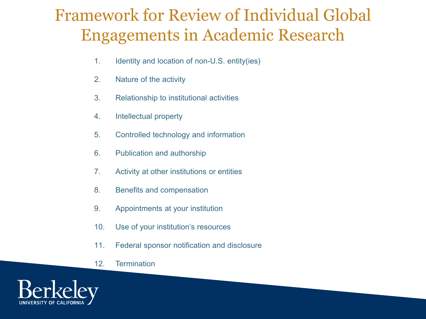### Framework for Review of Individual Global Engagements in Academic Research

- 1. Identity and location of non-U.S. entity(ies)
- 2. Nature of the activity
- 3. Relationship to institutional activities
- 4. Intellectual property
- 5. Controlled technology and information
- 6. Publication and authorship
- 7. Activity at other institutions or entities
- 8. Benefits and compensation
- 9. Appointments at your institution
- 10. Use of your institution's resources
- 11. Federal sponsor notification and disclosure
- 12. Termination

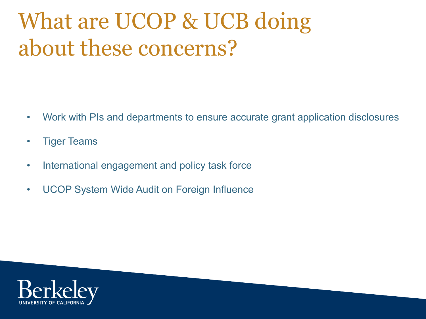## What are UCOP & UCB doing about these concerns?

- Work with PIs and departments to ensure accurate grant application disclosures
- Tiger Teams
- International engagement and policy task force
- UCOP System Wide Audit on Foreign Influence

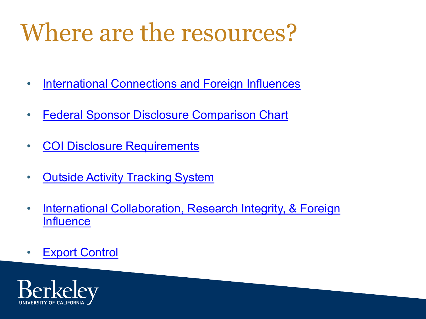## Where are the resources?

- [International Connections and Foreign Influences](https://rac.berkeley.edu/foreign_influence.html)
- [Federal Sponsor Disclosure Comparison Chart](https://rac.berkeley.edu/foreign_influence/comparison.html)
- [COI Disclosure Requirements](https://researchcoi.berkeley.edu/comparison.html)
- [Outside Activity Tracking System](https://apo.berkeley.edu/quick-links/outside-activity-tracking-system-oats)
- [International Collaboration, Research Integrity, & Foreign](https://globalengagement.berkeley.edu/research/international-collaboration-research-integrity-foreign-influence) **Influence**
- [Export Control](https://rac.berkeley.edu/ec/exportcontrol.html)

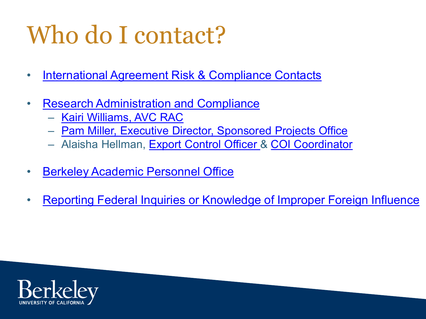## Who do I contact?

- [International Agreement Risk & Compliance Contacts](https://globalengagement.berkeley.edu/international-agreements/international-agreement-risk-compliance-contacts)
- [Research Administration and Compliance](https://rac.berkeley.edu/staff.html)
	- [Kairi Williams, AVC RAC](http://kdw@berkeley.edu)
	- [Pam Miller, Executive Director, Sponsored Projects Office](http://plfmiller@berkeley.edu)
	- Alaisha Hellman, [Export Control Officer &](http://ec-team@berkeley.edu) [COI Coordinator](http://coi-team@berkeley.edu)
- [Berkeley Academic Personnel Office](https://apo.berkeley.edu/office-contacts)
- [Reporting Federal Inquiries or Knowledge of Improper Foreign Influence](https://rac.berkeley.edu/foreign_influence/report.html)